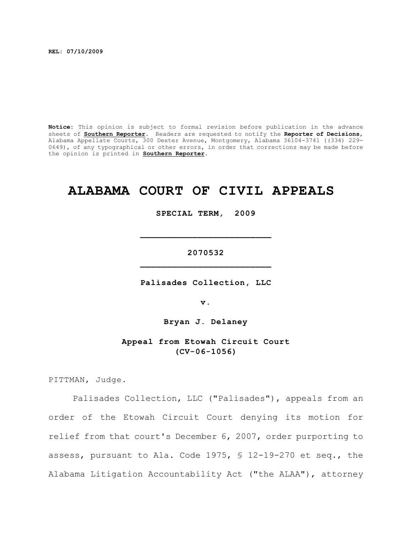**REL: 07/10/2009**

**Notice:** This opinion is subject to formal revision before publication in the advance sheets of **Southern Reporter**. Readers are requested to notify the **Reporter of Decisions**, Alabama Appellate Courts, 300 Dexter Avenue, Montgomery, Alabama 36104-3741 ((334) 229- 0649), of any typographical or other errors, in order that corrections may be made before the opinion is printed in **Southern Reporter**.

# **ALABAMA COURT OF CIVIL APPEALS**

**SPECIAL TERM, 2009**

## **2070532 \_\_\_\_\_\_\_\_\_\_\_\_\_\_\_\_\_\_\_\_\_\_\_\_\_**

**\_\_\_\_\_\_\_\_\_\_\_\_\_\_\_\_\_\_\_\_\_\_\_\_\_**

**Palisades Collection, LLC**

**v.**

**Bryan J. Delaney**

**Appeal from Etowah Circuit Court (CV-06-1056)**

PITTMAN, Judge.

Palisades Collection, LLC ("Palisades"), appeals from an order of the Etowah Circuit Court denying its motion for relief from that court's December 6, 2007, order purporting to assess, pursuant to Ala. Code 1975, § 12-19-270 et seq., the Alabama Litigation Accountability Act ("the ALAA"), attorney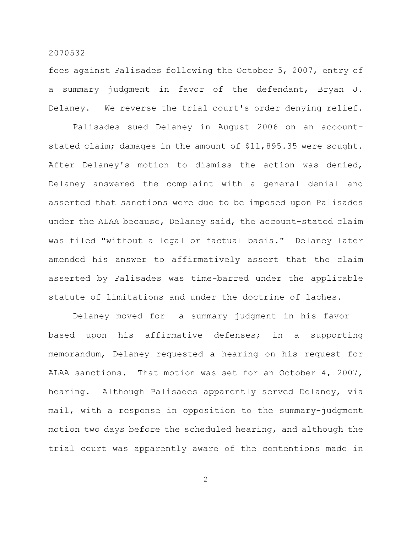fees against Palisades following the October 5, 2007, entry of a summary judgment in favor of the defendant, Bryan J. Delaney. We reverse the trial court's order denying relief.

Palisades sued Delaney in August 2006 on an accountstated claim; damages in the amount of \$11,895.35 were sought. After Delaney's motion to dismiss the action was denied, Delaney answered the complaint with a general denial and asserted that sanctions were due to be imposed upon Palisades under the ALAA because, Delaney said, the account-stated claim was filed "without a legal or factual basis." Delaney later amended his answer to affirmatively assert that the claim asserted by Palisades was time-barred under the applicable statute of limitations and under the doctrine of laches.

Delaney moved for a summary judgment in his favor based upon his affirmative defenses; in a supporting memorandum, Delaney requested a hearing on his request for ALAA sanctions. That motion was set for an October 4, 2007, hearing. Although Palisades apparently served Delaney, via mail, with a response in opposition to the summary-judgment motion two days before the scheduled hearing, and although the trial court was apparently aware of the contentions made in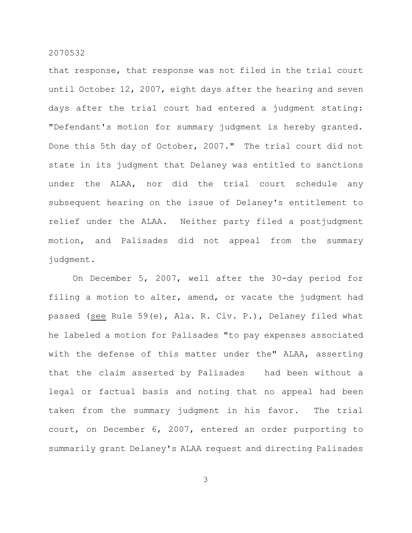that response, that response was not filed in the trial court until October 12, 2007, eight days after the hearing and seven days after the trial court had entered a judgment stating: "Defendant's motion for summary judgment is hereby granted. Done this 5th day of October, 2007." The trial court did not state in its judgment that Delaney was entitled to sanctions under the ALAA, nor did the trial court schedule any subsequent hearing on the issue of Delaney's entitlement to relief under the ALAA. Neither party filed a postjudgment motion, and Palisades did not appeal from the summary judgment.

On December 5, 2007, well after the 30-day period for filing a motion to alter, amend, or vacate the judgment had passed (see Rule 59(e), Ala. R. Civ. P.), Delaney filed what he labeled a motion for Palisades "to pay expenses associated with the defense of this matter under the" ALAA, asserting that the claim asserted by Palisades had been without a legal or factual basis and noting that no appeal had been taken from the summary judgment in his favor. The trial court, on December 6, 2007, entered an order purporting to summarily grant Delaney's ALAA request and directing Palisades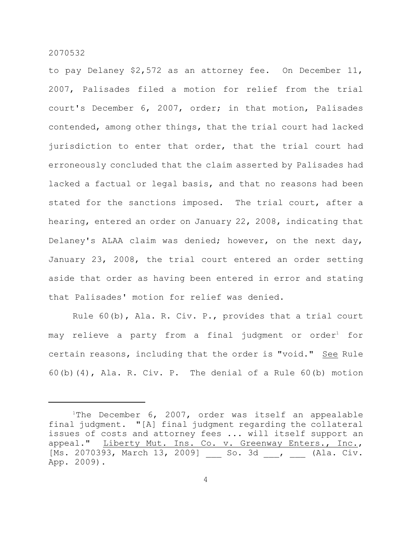to pay Delaney \$2,572 as an attorney fee. On December 11, 2007, Palisades filed a motion for relief from the trial court's December 6, 2007, order; in that motion, Palisades contended, among other things, that the trial court had lacked jurisdiction to enter that order, that the trial court had erroneously concluded that the claim asserted by Palisades had lacked a factual or legal basis, and that no reasons had been stated for the sanctions imposed. The trial court, after a hearing, entered an order on January 22, 2008, indicating that Delaney's ALAA claim was denied; however, on the next day, January 23, 2008, the trial court entered an order setting aside that order as having been entered in error and stating that Palisades' motion for relief was denied.

Rule 60(b), Ala. R. Civ. P., provides that a trial court may relieve a party from a final judgment or order $^{\rm 1}$  for certain reasons, including that the order is "void." See Rule 60(b)(4), Ala. R. Civ. P. The denial of a Rule 60(b) motion

<sup>&</sup>lt;sup>1</sup>The December 6, 2007, order was itself an appealable final judgment. "[A] final judgment regarding the collateral issues of costs and attorney fees ... will itself support an appeal." Liberty Mut. Ins. Co. v. Greenway Enters., Inc., [Ms. 2070393, March 13, 2009] \_\_\_ So. 3d \_\_, \_\_\_ (Ala. Civ. App. 2009).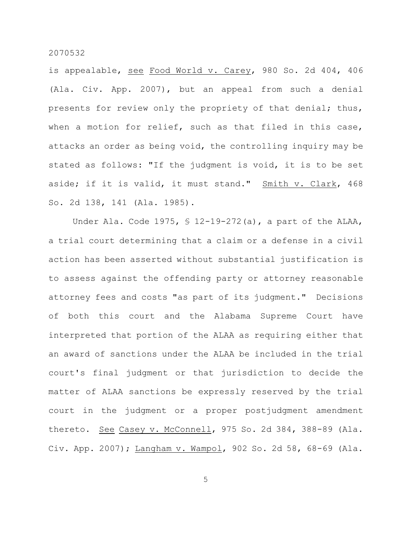is appealable, see Food World v. Carey, 980 So. 2d 404, 406 (Ala. Civ. App. 2007), but an appeal from such a denial presents for review only the propriety of that denial; thus, when a motion for relief, such as that filed in this case, attacks an order as being void, the controlling inquiry may be stated as follows: "If the judgment is void, it is to be set aside; if it is valid, it must stand." Smith v. Clark, 468 So. 2d 138, 141 (Ala. 1985).

Under Ala. Code 1975, § 12-19-272(a), a part of the ALAA, a trial court determining that a claim or a defense in a civil action has been asserted without substantial justification is to assess against the offending party or attorney reasonable attorney fees and costs "as part of its judgment." Decisions of both this court and the Alabama Supreme Court have interpreted that portion of the ALAA as requiring either that an award of sanctions under the ALAA be included in the trial court's final judgment or that jurisdiction to decide the matter of ALAA sanctions be expressly reserved by the trial court in the judgment or a proper postjudgment amendment thereto. See Casey v. McConnell, 975 So. 2d 384, 388-89 (Ala. Civ. App. 2007); Langham v. Wampol, 902 So. 2d 58, 68-69 (Ala.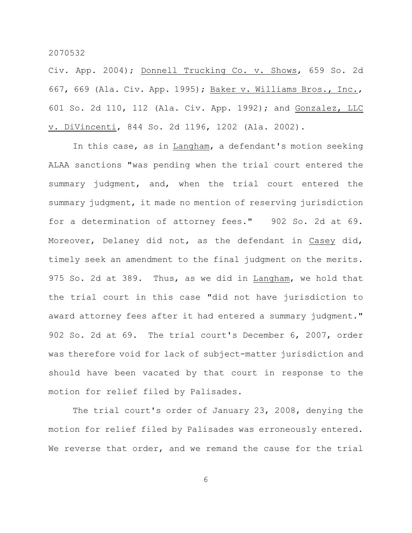Civ. App. 2004); Donnell Trucking Co. v. Shows, 659 So. 2d 667, 669 (Ala. Civ. App. 1995); Baker v. Williams Bros., Inc., 601 So. 2d 110, 112 (Ala. Civ. App. 1992); and Gonzalez, LLC v. DiVincenti, 844 So. 2d 1196, 1202 (Ala. 2002).

In this case, as in Langham, a defendant's motion seeking ALAA sanctions "was pending when the trial court entered the summary judgment, and, when the trial court entered the summary judgment, it made no mention of reserving jurisdiction for a determination of attorney fees." 902 So. 2d at 69. Moreover, Delaney did not, as the defendant in Casey did, timely seek an amendment to the final judgment on the merits. 975 So. 2d at 389. Thus, as we did in Langham, we hold that the trial court in this case "did not have jurisdiction to award attorney fees after it had entered a summary judgment." 902 So. 2d at 69. The trial court's December 6, 2007, order was therefore void for lack of subject-matter jurisdiction and should have been vacated by that court in response to the motion for relief filed by Palisades.

The trial court's order of January 23, 2008, denying the motion for relief filed by Palisades was erroneously entered. We reverse that order, and we remand the cause for the trial